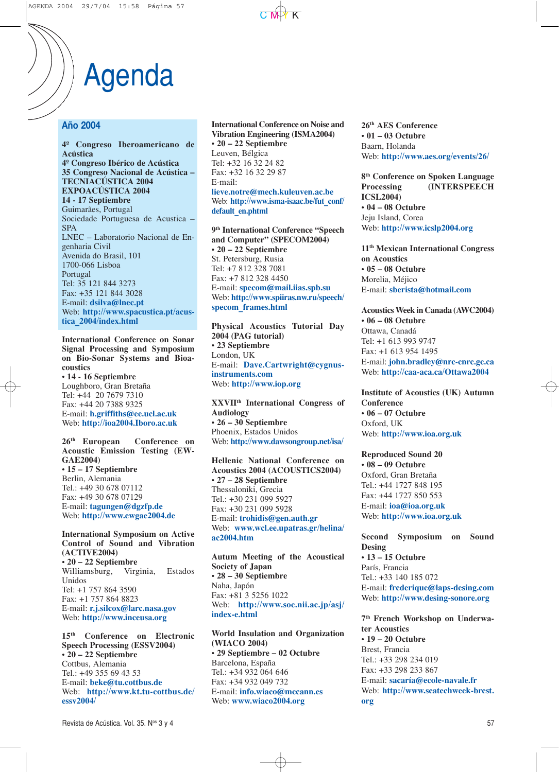## Agenda

#### **Año 2004**

**4º Congreso Iberoamericano de Acústica 4º Congreso Ibérico de Acústica 35 Congreso Nacional de Acústica – TECNIACÚSTICA 2004 EXPOACÚSTICA 2004 14 - 17 Septiembre** Guimarães, Portugal Sociedade Portuguesa de Acustica – SPA LNEC – Laboratorio Nacional de Engenharia Civil Avenida do Brasil, 101 1700-066 Lisboa Portugal Tel: 35 121 844 3273 Fax: +35 121 844 3028 E-mail: **dsilva@lnec.pt** Web: **http://www.spacustica.pt/acustica\_2004/index.html**

**International Conference on Sonar Signal Processing and Symposium on Bio-Sonar Systems and Bioacoustics • 14 - 16 Septiembre** Loughboro, Gran Bretaña Tel: +44 20 7679 7310 Fax: +44 20 7388 9325 E-mail: **h.griffiths@ee.ucl.ac.uk** Web: **http://ioa2004.Iboro.ac.uk**

**26th European Conference on Acoustic Emission Testing (EW-GAE2004) • 15 – 17 Septiembre** Berlin, Alemania Tel.: +49 30 678 07112 Fax: +49 30 678 07129 E-mail: **tagungen@dgzfp.de** Web: **http://www.ewgae2004.de**

**International Symposium on Active Control of Sound and Vibration (ACTIVE2004) • 20 – 22 Septiembre** Williamsburg, Virginia, Estados Unidos Tel: +1 757 864 3590 Fax: +1 757 864 8823 E-mail: **r.j.silcox@larc.nasa.gov** Web: **http://www.inceusa.org**

**15th Conference on Electronic Speech Processing (ESSV2004) • 20 – 22 Septiembre** Cottbus, Alemania Tel.: +49 355 69 43 53 E-mail: **beke@tu.cottbus.de** Web: **http://www.kt.tu-cottbus.de/ essv2004/**

**International Conference on Noise and Vibration Engineering (ISMA2004) • 20 – 22 Septiembre** Leuven, Bélgica Tel: +32 16 32 24 82 Fax: +32 16 32 29 87 E-mail: **lieve.notre@mech.kuleuven.ac.be** Web: **http://www.isma-isaac.be/fut\_conf/ default\_en.phtml**

**9th International Conference "Speech and Computer" (SPECOM2004) • 20 – 22 Septiembre** St. Petersburg, Rusia Tel: +7 812 328 7081 Fax: +7 812 328 4450 E-mail: **specom@mail.iias.spb.su** Web: **http://www.spiiras.nw.ru/speech/ specom\_frames.html**

**Physical Acoustics Tutorial Day 2004 (PAG tutorial) • 23 Septiembre** London, UK E-mail: **Dave.Cartwright@cygnusinstruments.com** Web: **http://www.iop.org**

**XXVIIth International Congress of Audiology • 26 – 30 Septiembre** Phoenix, Estados Unidos Web: **http://www.dawsongroup.net/isa/**

**Hellenic National Conference on Acoustics 2004 (ACOUSTICS2004) • 27 – 28 Septiembre** Thessaloniki, Grecia Tel.: +30 231 099 5927 Fax: +30 231 099 5928 E-mail: **trohidis@gen.auth.gr** Web: **www.wcl.ee.upatras.gr/helina/ ac2004.htm**

**Autum Meeting of the Acoustical Society of Japan • 28 – 30 Septiembre** Naha, Japón Fax: +81 3 5256 1022 Web: **http://www.soc.nii.ac.jp/asj/ index-e.html**

**World Insulation and Organization (WIACO 2004) • 29 Septiembre – 02 Octubre** Barcelona, España Tel.: +34 932 064 646 Fax: +34 932 049 732 E-mail: **info.wiaco@mccann.es** Web: **www.wiaco2004.org**

**26th AES Conference • 01 – 03 Octubre** Baarn, Holanda Web: **http://www.aes.org/events/26/**

**8th Conference on Spoken Language Processing (INTERSPEECH ICSL2004) • 04 – 08 Octubre** Jeju Island, Corea Web: **http://www.icslp2004.org**

**11th Mexican International Congress on Acoustics • 05 – 08 Octubre** Morelia, Méjico E-mail: **sberista@hotmail.com**

**Acoustics Week in Canada (AWC2004) • 06 – 08 Octubre** Ottawa, Canadá Tel: +1 613 993 9747 Fax: +1 613 954 1495 E-mail: **john.bradley@nrc-cnrc.gc.ca** Web: **http://caa-aca.ca/Ottawa2004**

**Institute of Acoustics (UK) Autumn Conference • 06 – 07 Octubre** Oxford, UK Web: **http://www.ioa.org.uk**

**Reproduced Sound 20 • 08 – 09 Octubre** Oxford, Gran Bretaña Tel.: +44 1727 848 195 Fax: +44 1727 850 553 E-mail: **ioa@ioa.org.uk** Web: **http://www.ioa.org.uk**

**Second Symposium on Sound Desing • 13 – 15 Octubre** París, Francia Tel.: +33 140 185 072 E-mail: **frederique@laps-desing.com** Web: **http://www.desing-sonore.org**

**7th French Workshop on Underwater Acoustics • 19 – 20 Octubre** Brest, Francia Tel.: +33 298 234 019 Fax: +33 298 233 867 E-mail: **sacaría@ecole-navale.fr** Web: **http://www.seatechweek-brest. org**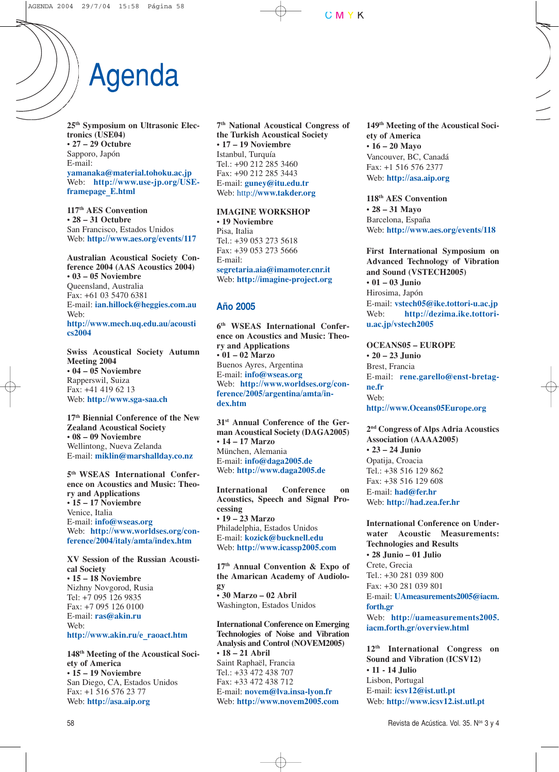# Agenda

**25th Symposium on Ultrasonic Electronics (USE04) • 27 – 29 Octubre** Sapporo, Japón E-mail:

**yamanaka@material.tohoku.ac.jp** Web: **http://www.use-jp.org/USEframepage\_E.html**

**117th AES Convention • 28 – 31 Octubre** San Francisco, Estados Unidos Web: **http://www.aes.org/events/117**

**Australian Acoustical Society Conference 2004 (AAS Acoustics 2004) • 03 – 05 Noviembre** Queensland, Australia Fax: +61 03 5470 6381 E-mail: **ian.hillock@heggies.com.au** Web: **http://www.mech.uq.edu.au/acousti cs2004**

**Swiss Acoustical Society Autumn Meeting 2004 • 04 – 05 Noviembre** Rapperswil, Suiza Fax: +41 419 62 13 Web: **http://www.sga-saa.ch**

**17th Biennial Conference of the New Zealand Acoustical Society • 08 – 09 Noviembre** Wellintong, Nueva Zelanda E-mail: **miklin@marshallday.co.nz**

**5th WSEAS International Conference on Acoustics and Music: Theory and Applications • 15 – 17 Noviembre** Venice, Italia E-mail: **info@wseas.org** Web: **http://www.worldses.org/conference/2004/italy/amta/index.htm**

**XV Session of the Russian Acoustical Society • 15 – 18 Noviembre** Nizhny Novgorod, Rusia Tel: +7 095 126 9835 Fax: +7 095 126 0100 E-mail: **ras@akin.ru** Web:

**http://www.akin.ru/e\_raoact.htm**

**148th Meeting of the Acoustical Society of America • 15 – 19 Noviembre** San Diego, CA, Estados Unidos Fax: +1 516 576 23 77 Web: **http://asa.aip.org**

**7th National Acoustical Congress of the Turkish Acoustical Society • 17 – 19 Noviembre** Istanbul, Turquía Tel.: +90 212 285 3460 Fax: +90 212 285 3443 E-mail: **guney@itu.edu.tr** Web: http://**www.takder.org**

**IMAGINE WORKSHOP • 19 Noviembre** Pisa, Italia Tel.: +39 053 273 5618 Fax: +39 053 273 5666 E-mail: **segretaria.aia@imamoter.cnr.it** Web: **http://imagine-project.org**

#### **Año 2005**

**6th WSEAS International Conference on Acoustics and Music: Theory and Applications • 01 – 02 Marzo** Buenos Ayres, Argentina E-mail: **info@wseas.org** Web: **http://www.worldses.org/conference/2005/argentina/amta/index.htm**

**31st Annual Conference of the German Acoustical Society (DAGA2005) • 14 – 17 Marzo** München, Alemania E-mail: **info@daga2005.de** Web: **http://www.daga2005.de**

**International Conference on Acoustics, Speech and Signal Processing • 19 – 23 Marzo** Philadelphia, Estados Unidos E-mail: **kozick@bucknell.edu** Web: **http://www.icassp2005.com**

**17th Annual Convention & Expo of the Amarican Academy of Audiology • 30 Marzo – 02 Abril** Washington, Estados Unidos

**International Conference on Emerging Technologies of Noise and Vibration Analysis and Control (NOVEM2005) • 18 – 21 Abril** Saint Raphaël, Francia Tel.: +33 472 438 707 Fax: +33 472 438 712 E-mail: **novem@lva.insa-lyon.fr** Web: **http://www.novem2005.com**

**149th Meeting of the Acoustical Society of America • 16 – 20 Mayo** Vancouver, BC, Canadá Fax: +1 516 576 2377 Web: **http://asa.aip.org**

**118th AES Convention • 28 – 31 Mayo** Barcelona, España Web: **http://www.aes.org/events/118**

**First International Symposium on Advanced Technology of Vibration and Sound (VSTECH2005) • 01 – 03 Junio** Hirosima, Japón E-mail: **vstech05@ike.tottori-u.ac.jp** Web: **http://dezima.ike.tottoriu.ac.jp/vstech2005**

**OCEANS05 – EUROPE • 20 – 23 Junio** Brest, Francia E-mail: **rene.garello@enst-bretagne.fr** We<sub>b</sub>: **http://www.Oceans05Europe.org**

**2nd Congress of Alps Adria Acoustics Association (AAAA2005) • 23 – 24 Junio** Opatija, Croacia Tel.: +38 516 129 862 Fax: +38 516 129 608 E-mail: **had@fer.hr** Web: **http://had.zea.fer.hr**

**International Conference on Underwater Acoustic Measurements: Technologies and Results • 28 Junio – 01 Julio** Crete, Grecia Tel.: +30 281 039 800 Fax: +30 281 039 801 E-mail: **UAmeasurements2005@iacm. forth.gr** Web: **http://uameasurements2005. iacm.forth.gr/overview.html**

**12th International Congress on Sound and Vibration (ICSV12) • 11 - 14 Julio** Lisbon, Portugal E-mail: **icsv12@ist.utl.pt** Web: **http://www.icsv12.ist.utl.pt**